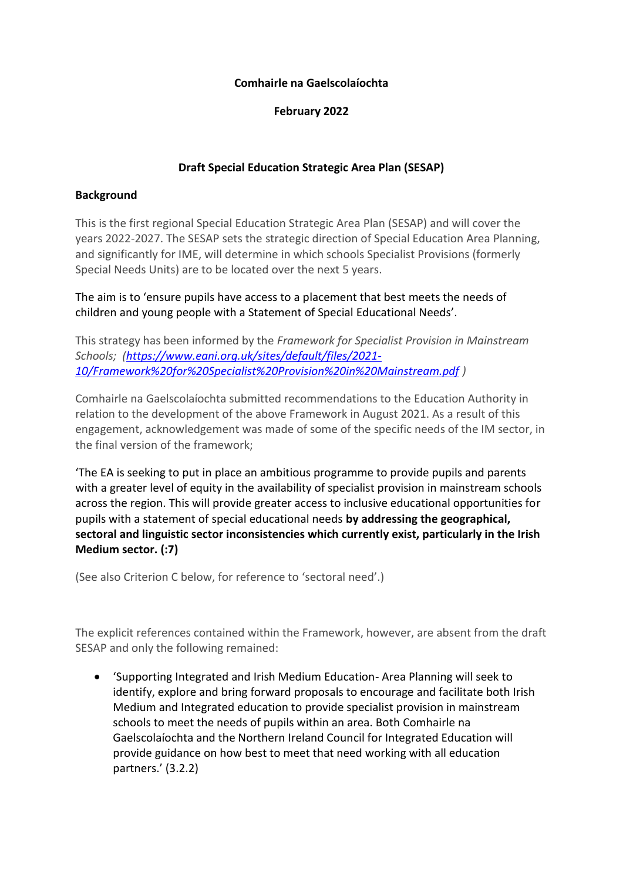## **Comhairle na Gaelscolaíochta**

**February 2022**

# **Draft Special Education Strategic Area Plan (SESAP)**

## **Background**

This is the first regional Special Education Strategic Area Plan (SESAP) and will cover the years 2022-2027. The SESAP sets the strategic direction of Special Education Area Planning, and significantly for IME, will determine in which schools Specialist Provisions (formerly Special Needs Units) are to be located over the next 5 years.

The aim is to 'ensure pupils have access to a placement that best meets the needs of children and young people with a Statement of Special Educational Needs'.

This strategy has been informed by the *Framework for Specialist Provision in Mainstream Schools; [\(https://www.eani.org.uk/sites/default/files/2021-](https://www.eani.org.uk/sites/default/files/2021-10/Framework%20for%20Specialist%20Provision%20in%20Mainstream.pdf) [10/Framework%20for%20Specialist%20Provision%20in%20Mainstream.pdf](https://www.eani.org.uk/sites/default/files/2021-10/Framework%20for%20Specialist%20Provision%20in%20Mainstream.pdf) )*

Comhairle na Gaelscolaíochta submitted recommendations to the Education Authority in relation to the development of the above Framework in August 2021. As a result of this engagement, acknowledgement was made of some of the specific needs of the IM sector, in the final version of the framework;

'The EA is seeking to put in place an ambitious programme to provide pupils and parents with a greater level of equity in the availability of specialist provision in mainstream schools across the region. This will provide greater access to inclusive educational opportunities for pupils with a statement of special educational needs **by addressing the geographical, sectoral and linguistic sector inconsistencies which currently exist, particularly in the Irish Medium sector. (:7)**

(See also Criterion C below, for reference to 'sectoral need'.)

The explicit references contained within the Framework, however, are absent from the draft SESAP and only the following remained:

• 'Supporting Integrated and Irish Medium Education- Area Planning will seek to identify, explore and bring forward proposals to encourage and facilitate both Irish Medium and Integrated education to provide specialist provision in mainstream schools to meet the needs of pupils within an area. Both Comhairle na Gaelscolaíochta and the Northern Ireland Council for Integrated Education will provide guidance on how best to meet that need working with all education partners.' (3.2.2)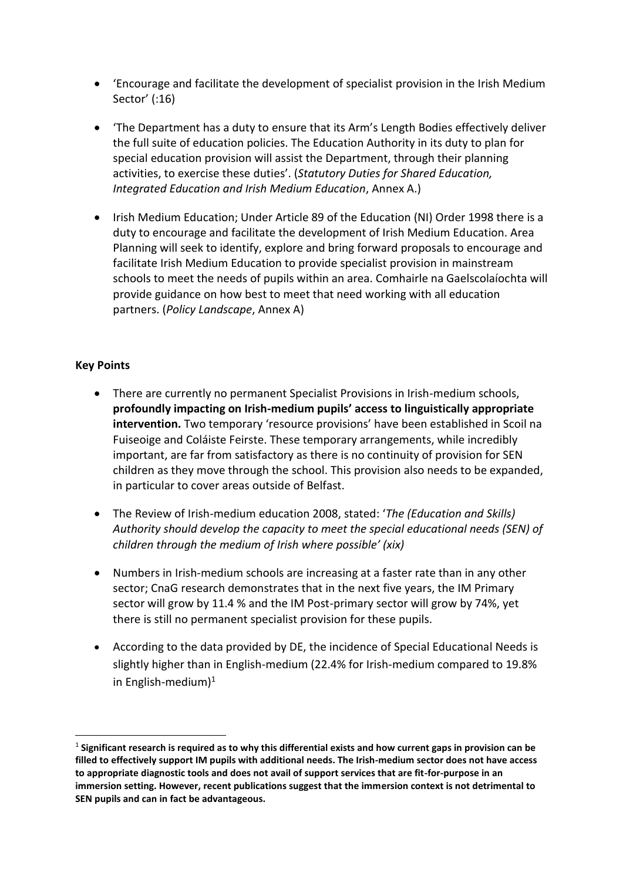- 'Encourage and facilitate the development of specialist provision in the Irish Medium Sector' (:16)
- 'The Department has a duty to ensure that its Arm's Length Bodies effectively deliver the full suite of education policies. The Education Authority in its duty to plan for special education provision will assist the Department, through their planning activities, to exercise these duties'. (*Statutory Duties for Shared Education, Integrated Education and Irish Medium Education*, Annex A.)
- Irish Medium Education; Under Article 89 of the Education (NI) Order 1998 there is a duty to encourage and facilitate the development of Irish Medium Education. Area Planning will seek to identify, explore and bring forward proposals to encourage and facilitate Irish Medium Education to provide specialist provision in mainstream schools to meet the needs of pupils within an area. Comhairle na Gaelscolaíochta will provide guidance on how best to meet that need working with all education partners. (*Policy Landscape*, Annex A)

## **Key Points**

- There are currently no permanent Specialist Provisions in Irish-medium schools, **profoundly impacting on Irish-medium pupils' access to linguistically appropriate intervention.** Two temporary 'resource provisions' have been established in Scoil na Fuiseoige and Coláiste Feirste. These temporary arrangements, while incredibly important, are far from satisfactory as there is no continuity of provision for SEN children as they move through the school. This provision also needs to be expanded, in particular to cover areas outside of Belfast.
- The Review of Irish-medium education 2008, stated: '*The (Education and Skills) Authority should develop the capacity to meet the special educational needs (SEN) of children through the medium of Irish where possible' (xix)*
- Numbers in Irish-medium schools are increasing at a faster rate than in any other sector; CnaG research demonstrates that in the next five years, the IM Primary sector will grow by 11.4 % and the IM Post-primary sector will grow by 74%, yet there is still no permanent specialist provision for these pupils.
- According to the data provided by DE, the incidence of Special Educational Needs is slightly higher than in English-medium (22.4% for Irish-medium compared to 19.8% in English-medium $)^1$

<sup>1</sup> **Significant research is required as to why this differential exists and how current gaps in provision can be filled to effectively support IM pupils with additional needs. The Irish-medium sector does not have access to appropriate diagnostic tools and does not avail of support services that are fit-for-purpose in an immersion setting. However, recent publications suggest that the immersion context is not detrimental to SEN pupils and can in fact be advantageous.**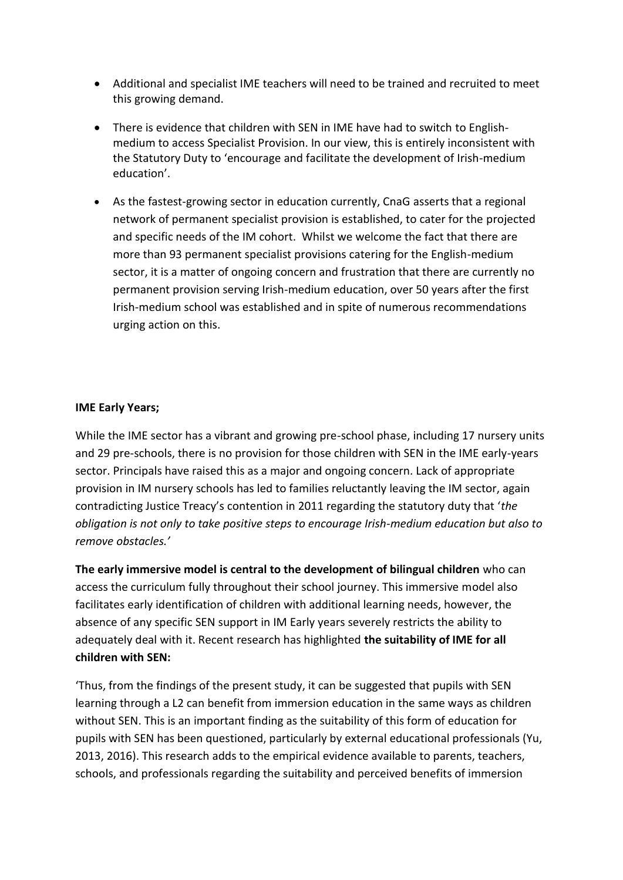- Additional and specialist IME teachers will need to be trained and recruited to meet this growing demand.
- There is evidence that children with SEN in IME have had to switch to Englishmedium to access Specialist Provision. In our view, this is entirely inconsistent with the Statutory Duty to 'encourage and facilitate the development of Irish-medium education'.
- As the fastest-growing sector in education currently, CnaG asserts that a regional network of permanent specialist provision is established, to cater for the projected and specific needs of the IM cohort. Whilst we welcome the fact that there are more than 93 permanent specialist provisions catering for the English-medium sector, it is a matter of ongoing concern and frustration that there are currently no permanent provision serving Irish-medium education, over 50 years after the first Irish-medium school was established and in spite of numerous recommendations urging action on this.

# **IME Early Years;**

While the IME sector has a vibrant and growing pre-school phase, including 17 nursery units and 29 pre-schools, there is no provision for those children with SEN in the IME early-years sector. Principals have raised this as a major and ongoing concern. Lack of appropriate provision in IM nursery schools has led to families reluctantly leaving the IM sector, again contradicting Justice Treacy's contention in 2011 regarding the statutory duty that '*the obligation is not only to take positive steps to encourage Irish-medium education but also to remove obstacles.'*

**The early immersive model is central to the development of bilingual children** who can access the curriculum fully throughout their school journey. This immersive model also facilitates early identification of children with additional learning needs, however, the absence of any specific SEN support in IM Early years severely restricts the ability to adequately deal with it. Recent research has highlighted **the suitability of IME for all children with SEN:**

'Thus, from the findings of the present study, it can be suggested that pupils with SEN learning through a L2 can benefit from immersion education in the same ways as children without SEN. This is an important finding as the suitability of this form of education for pupils with SEN has been questioned, particularly by external educational professionals (Yu, 2013, 2016). This research adds to the empirical evidence available to parents, teachers, schools, and professionals regarding the suitability and perceived benefits of immersion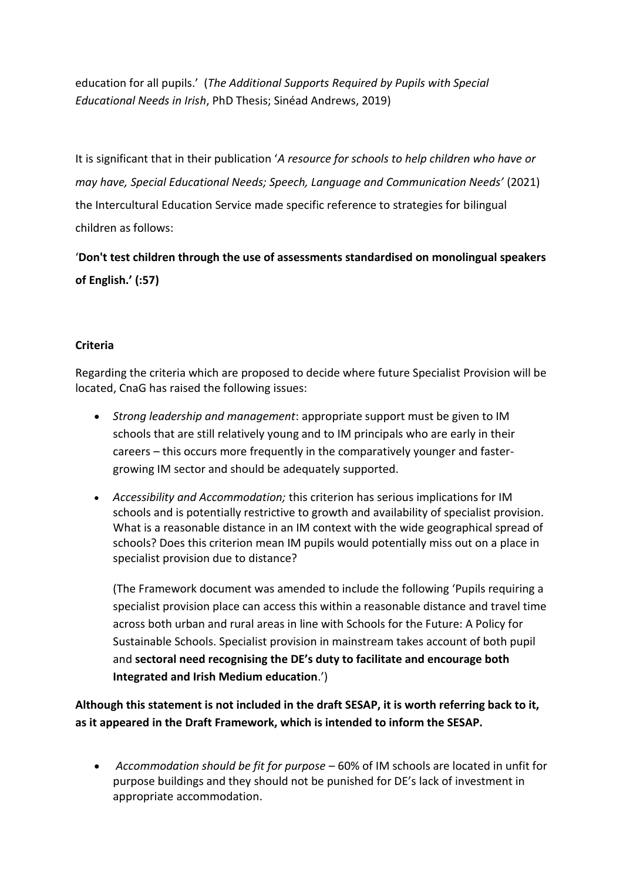education for all pupils.' (*The Additional Supports Required by Pupils with Special Educational Needs in Irish*, PhD Thesis; Sinéad Andrews, 2019)

It is significant that in their publication '*A resource for schools to help children who have or may have, Special Educational Needs; Speech, Language and Communication Needs'* (2021) the Intercultural Education Service made specific reference to strategies for bilingual children as follows:

'**Don't test children through the use of assessments standardised on monolingual speakers of English.' (:57)**

# **Criteria**

Regarding the criteria which are proposed to decide where future Specialist Provision will be located, CnaG has raised the following issues:

- *Strong leadership and management*: appropriate support must be given to IM schools that are still relatively young and to IM principals who are early in their careers – this occurs more frequently in the comparatively younger and fastergrowing IM sector and should be adequately supported.
- *Accessibility and Accommodation;* this criterion has serious implications for IM schools and is potentially restrictive to growth and availability of specialist provision. What is a reasonable distance in an IM context with the wide geographical spread of schools? Does this criterion mean IM pupils would potentially miss out on a place in specialist provision due to distance?

(The Framework document was amended to include the following 'Pupils requiring a specialist provision place can access this within a reasonable distance and travel time across both urban and rural areas in line with Schools for the Future: A Policy for Sustainable Schools. Specialist provision in mainstream takes account of both pupil and **sectoral need recognising the DE's duty to facilitate and encourage both Integrated and Irish Medium education**.')

**Although this statement is not included in the draft SESAP, it is worth referring back to it, as it appeared in the Draft Framework, which is intended to inform the SESAP.**

• *Accommodation should be fit for purpose* – 60% of IM schools are located in unfit for purpose buildings and they should not be punished for DE's lack of investment in appropriate accommodation.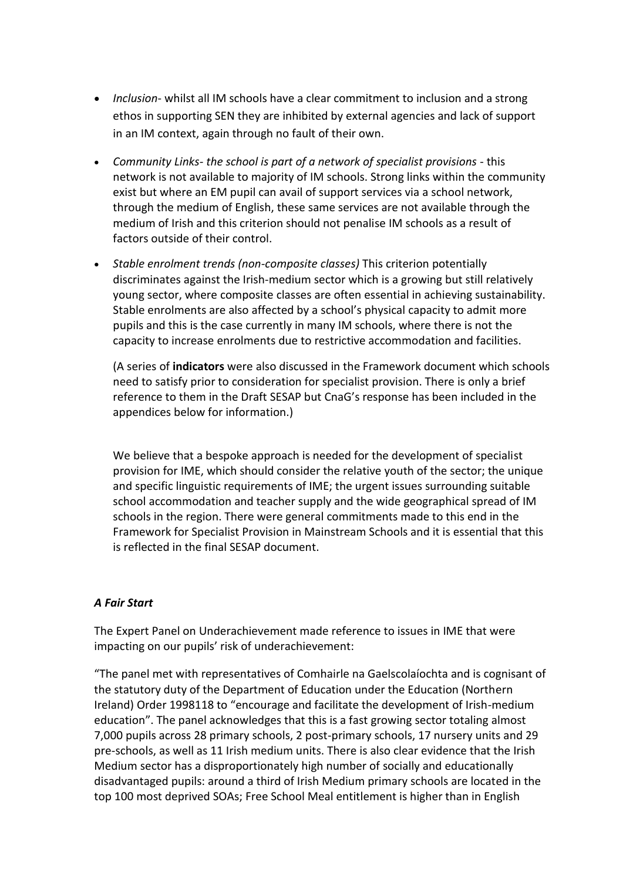- *Inclusion* whilst all IM schools have a clear commitment to inclusion and a strong ethos in supporting SEN they are inhibited by external agencies and lack of support in an IM context, again through no fault of their own.
- *Community Links- the school is part of a network of specialist provisions* this network is not available to majority of IM schools. Strong links within the community exist but where an EM pupil can avail of support services via a school network, through the medium of English, these same services are not available through the medium of Irish and this criterion should not penalise IM schools as a result of factors outside of their control.
- *Stable enrolment trends (non-composite classes)* This criterion potentially discriminates against the Irish-medium sector which is a growing but still relatively young sector, where composite classes are often essential in achieving sustainability. Stable enrolments are also affected by a school's physical capacity to admit more pupils and this is the case currently in many IM schools, where there is not the capacity to increase enrolments due to restrictive accommodation and facilities.

(A series of **indicators** were also discussed in the Framework document which schools need to satisfy prior to consideration for specialist provision. There is only a brief reference to them in the Draft SESAP but CnaG's response has been included in the appendices below for information.)

We believe that a bespoke approach is needed for the development of specialist provision for IME, which should consider the relative youth of the sector; the unique and specific linguistic requirements of IME; the urgent issues surrounding suitable school accommodation and teacher supply and the wide geographical spread of IM schools in the region. There were general commitments made to this end in the Framework for Specialist Provision in Mainstream Schools and it is essential that this is reflected in the final SESAP document.

#### *A Fair Start*

The Expert Panel on Underachievement made reference to issues in IME that were impacting on our pupils' risk of underachievement:

"The panel met with representatives of Comhairle na Gaelscolaíochta and is cognisant of the statutory duty of the Department of Education under the Education (Northern Ireland) Order 1998118 to "encourage and facilitate the development of Irish-medium education". The panel acknowledges that this is a fast growing sector totaling almost 7,000 pupils across 28 primary schools, 2 post-primary schools, 17 nursery units and 29 pre-schools, as well as 11 Irish medium units. There is also clear evidence that the Irish Medium sector has a disproportionately high number of socially and educationally disadvantaged pupils: around a third of Irish Medium primary schools are located in the top 100 most deprived SOAs; Free School Meal entitlement is higher than in English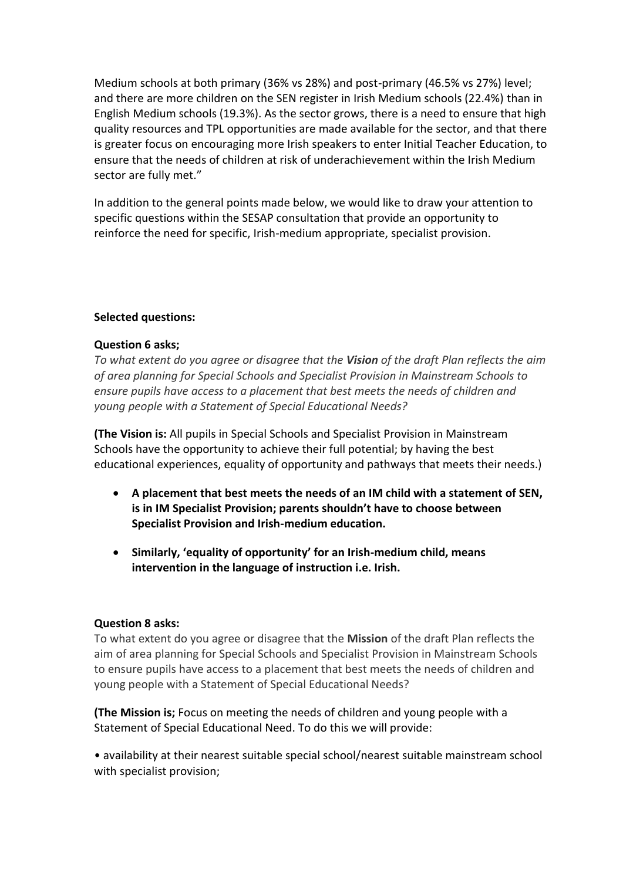Medium schools at both primary (36% vs 28%) and post-primary (46.5% vs 27%) level; and there are more children on the SEN register in Irish Medium schools (22.4%) than in English Medium schools (19.3%). As the sector grows, there is a need to ensure that high quality resources and TPL opportunities are made available for the sector, and that there is greater focus on encouraging more Irish speakers to enter Initial Teacher Education, to ensure that the needs of children at risk of underachievement within the Irish Medium sector are fully met."

In addition to the general points made below, we would like to draw your attention to specific questions within the SESAP consultation that provide an opportunity to reinforce the need for specific, Irish-medium appropriate, specialist provision.

## **Selected questions:**

## **Question 6 asks;**

*To what extent do you agree or disagree that the Vision of the draft Plan reflects the aim of area planning for Special Schools and Specialist Provision in Mainstream Schools to ensure pupils have access to a placement that best meets the needs of children and young people with a Statement of Special Educational Needs?*

**(The Vision is:** All pupils in Special Schools and Specialist Provision in Mainstream Schools have the opportunity to achieve their full potential; by having the best educational experiences, equality of opportunity and pathways that meets their needs.)

- **A placement that best meets the needs of an IM child with a statement of SEN, is in IM Specialist Provision; parents shouldn't have to choose between Specialist Provision and Irish-medium education.**
- **Similarly, 'equality of opportunity' for an Irish-medium child, means intervention in the language of instruction i.e. Irish.**

#### **Question 8 asks:**

To what extent do you agree or disagree that the **Mission** of the draft Plan reflects the aim of area planning for Special Schools and Specialist Provision in Mainstream Schools to ensure pupils have access to a placement that best meets the needs of children and young people with a Statement of Special Educational Needs?

**(The Mission is;** Focus on meeting the needs of children and young people with a Statement of Special Educational Need. To do this we will provide:

• availability at their nearest suitable special school/nearest suitable mainstream school with specialist provision;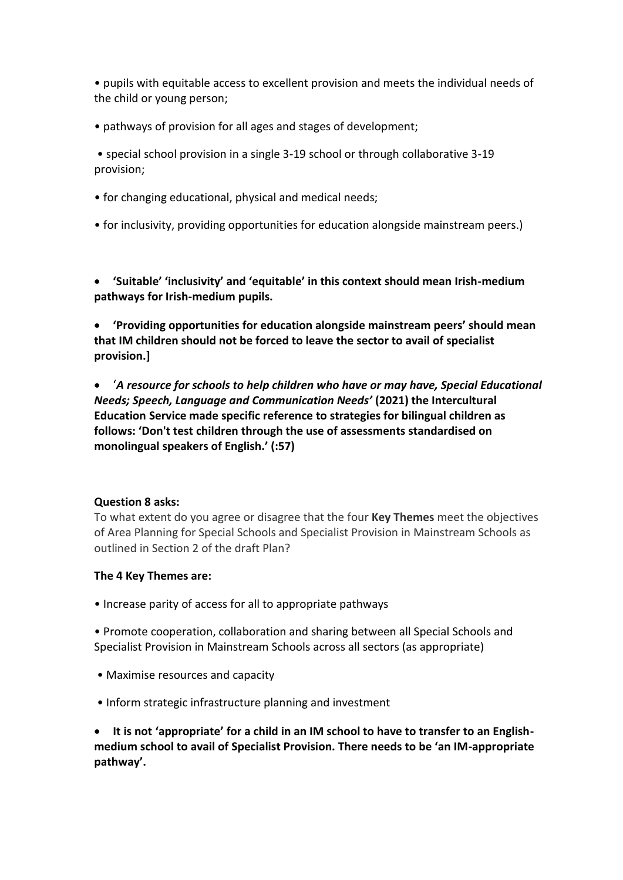• pupils with equitable access to excellent provision and meets the individual needs of the child or young person;

• pathways of provision for all ages and stages of development;

• special school provision in a single 3-19 school or through collaborative 3-19 provision;

- for changing educational, physical and medical needs;
- for inclusivity, providing opportunities for education alongside mainstream peers.)

• **'Suitable' 'inclusivity' and 'equitable' in this context should mean Irish-medium pathways for Irish-medium pupils.**

• **'Providing opportunities for education alongside mainstream peers' should mean that IM children should not be forced to leave the sector to avail of specialist provision.]**

• '*A resource for schools to help children who have or may have, Special Educational Needs; Speech, Language and Communication Needs'* **(2021) the Intercultural Education Service made specific reference to strategies for bilingual children as follows: 'Don't test children through the use of assessments standardised on monolingual speakers of English.' (:57)**

#### **Question 8 asks:**

To what extent do you agree or disagree that the four **Key Themes** meet the objectives of Area Planning for Special Schools and Specialist Provision in Mainstream Schools as outlined in Section 2 of the draft Plan?

#### **The 4 Key Themes are:**

• Increase parity of access for all to appropriate pathways

• Promote cooperation, collaboration and sharing between all Special Schools and Specialist Provision in Mainstream Schools across all sectors (as appropriate)

- Maximise resources and capacity
- Inform strategic infrastructure planning and investment

• **It is not 'appropriate' for a child in an IM school to have to transfer to an Englishmedium school to avail of Specialist Provision. There needs to be 'an IM-appropriate pathway'.**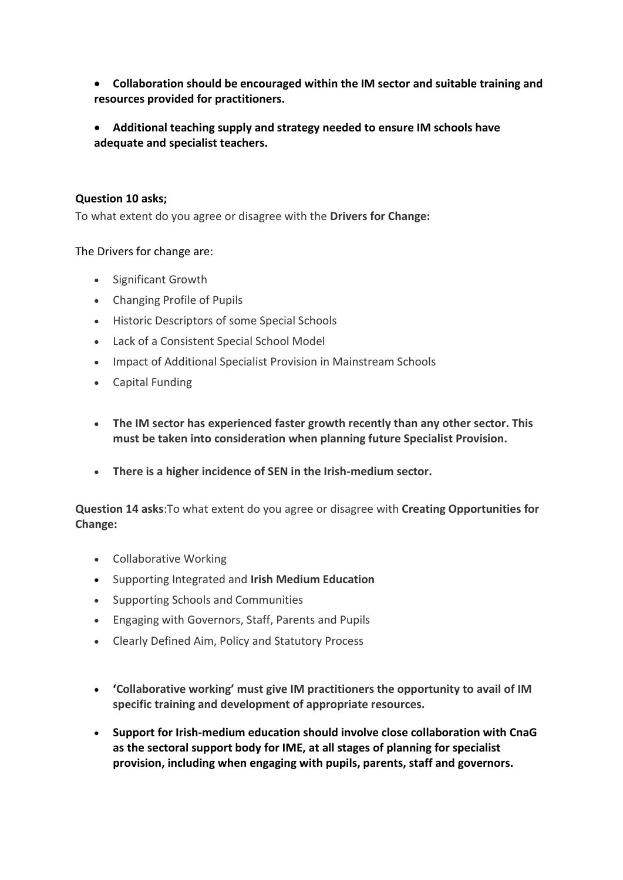- **Collaboration should be encouraged within the IM sector and suitable training and resources provided for practitioners.**
- **Additional teaching supply and strategy needed to ensure IM schools have adequate and specialist teachers.**

## **Question 10 asks;**

To what extent do you agree or disagree with the **Drivers for Change:**

## The Drivers for change are:

- Significant Growth
- Changing Profile of Pupils
- Historic Descriptors of some Special Schools
- Lack of a Consistent Special School Model
- Impact of Additional Specialist Provision in Mainstream Schools
- Capital Funding
- **The IM sector has experienced faster growth recently than any other sector. This must be taken into consideration when planning future Specialist Provision.**
- **There is a higher incidence of SEN in the Irish-medium sector.**

**Question 14 asks**:To what extent do you agree or disagree with **Creating Opportunities for Change:**

- Collaborative Working
- Supporting Integrated and **Irish Medium Education**
- Supporting Schools and Communities
- Engaging with Governors, Staff, Parents and Pupils
- Clearly Defined Aim, Policy and Statutory Process
- **'Collaborative working' must give IM practitioners the opportunity to avail of IM specific training and development of appropriate resources.**
- **Support for Irish-medium education should involve close collaboration with CnaG as the sectoral support body for IME, at all stages of planning for specialist provision, including when engaging with pupils, parents, staff and governors.**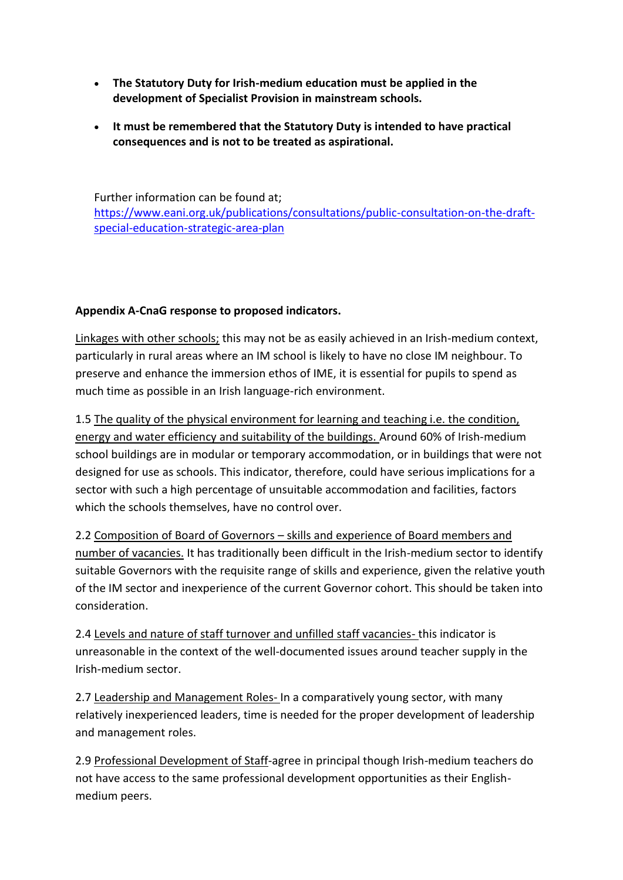- **The Statutory Duty for Irish-medium education must be applied in the development of Specialist Provision in mainstream schools.**
- **It must be remembered that the Statutory Duty is intended to have practical consequences and is not to be treated as aspirational.**

Further information can be found at; [https://www.eani.org.uk/publications/consultations/public-consultation-on-the-draft](https://www.eani.org.uk/publications/consultations/public-consultation-on-the-draft-special-education-strategic-area-plan)[special-education-strategic-area-plan](https://www.eani.org.uk/publications/consultations/public-consultation-on-the-draft-special-education-strategic-area-plan)

# **Appendix A-CnaG response to proposed indicators.**

Linkages with other schools; this may not be as easily achieved in an Irish-medium context, particularly in rural areas where an IM school is likely to have no close IM neighbour. To preserve and enhance the immersion ethos of IME, it is essential for pupils to spend as much time as possible in an Irish language-rich environment.

1.5 The quality of the physical environment for learning and teaching i.e. the condition, energy and water efficiency and suitability of the buildings. Around 60% of Irish-medium school buildings are in modular or temporary accommodation, or in buildings that were not designed for use as schools. This indicator, therefore, could have serious implications for a sector with such a high percentage of unsuitable accommodation and facilities, factors which the schools themselves, have no control over.

2.2 Composition of Board of Governors – skills and experience of Board members and number of vacancies. It has traditionally been difficult in the Irish-medium sector to identify suitable Governors with the requisite range of skills and experience, given the relative youth of the IM sector and inexperience of the current Governor cohort. This should be taken into consideration.

2.4 Levels and nature of staff turnover and unfilled staff vacancies- this indicator is unreasonable in the context of the well-documented issues around teacher supply in the Irish-medium sector.

2.7 Leadership and Management Roles- In a comparatively young sector, with many relatively inexperienced leaders, time is needed for the proper development of leadership and management roles.

2.9 Professional Development of Staff-agree in principal though Irish-medium teachers do not have access to the same professional development opportunities as their Englishmedium peers.